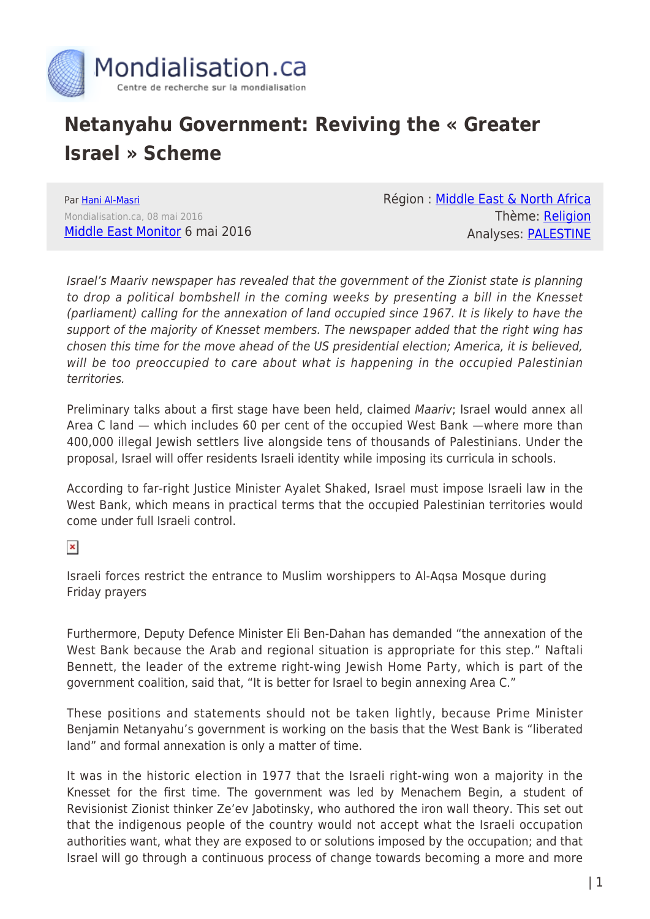

## **Netanyahu Government: Reviving the « Greater Israel » Scheme**

Par [Hani Al-Masri](https://www.mondialisation.ca/author/hani-al-masri) Mondialisation.ca, 08 mai 2016 [Middle East Monitor](https://www.middleeastmonitor.com/20160506-reviving-the-greater-israel-scheme/) 6 mai 2016 Région : [Middle East & North Africa](https://www.mondialisation.ca/region/middle-east) Thème: [Religion](https://www.mondialisation.ca/theme/politics-and-religion) Analyses: [PALESTINE](https://www.mondialisation.ca/indepthreport/palestine)

Israel's Maariv newspaper has revealed that the government of the Zionist state is planning to drop a political bombshell in the coming weeks by presenting a bill in the Knesset (parliament) calling for the annexation of land occupied since 1967. It is likely to have the support of the majority of Knesset members. The newspaper added that the right wing has chosen this time for the move ahead of the US presidential election; America, it is believed, will be too preoccupied to care about what is happening in the occupied Palestinian territories.

Preliminary talks about a first stage have been held, claimed Maariv; Israel would annex all Area C land — which includes 60 per cent of the occupied West Bank —where more than 400,000 illegal Jewish settlers live alongside tens of thousands of Palestinians. Under the proposal, Israel will offer residents Israeli identity while imposing its curricula in schools.

According to far-right Justice Minister Ayalet Shaked, Israel must impose Israeli law in the West Bank, which means in practical terms that the occupied Palestinian territories would come under full Israeli control.

 $\pmb{\times}$ 

Israeli forces restrict the entrance to Muslim worshippers to Al-Aqsa Mosque during Friday prayers

Furthermore, Deputy Defence Minister Eli Ben-Dahan has demanded "the annexation of the West Bank because the Arab and regional situation is appropriate for this step." Naftali Bennett, the leader of the extreme right-wing Jewish Home Party, which is part of the government coalition, said that, "It is better for Israel to begin annexing Area C."

These positions and statements should not be taken lightly, because Prime Minister Benjamin Netanyahu's government is working on the basis that the West Bank is "liberated land" and formal annexation is only a matter of time.

It was in the historic election in 1977 that the Israeli right-wing won a majority in the Knesset for the first time. The government was led by Menachem Begin, a student of Revisionist Zionist thinker Ze'ev Jabotinsky, who authored the iron wall theory. This set out that the indigenous people of the country would not accept what the Israeli occupation authorities want, what they are exposed to or solutions imposed by the occupation; and that Israel will go through a continuous process of change towards becoming a more and more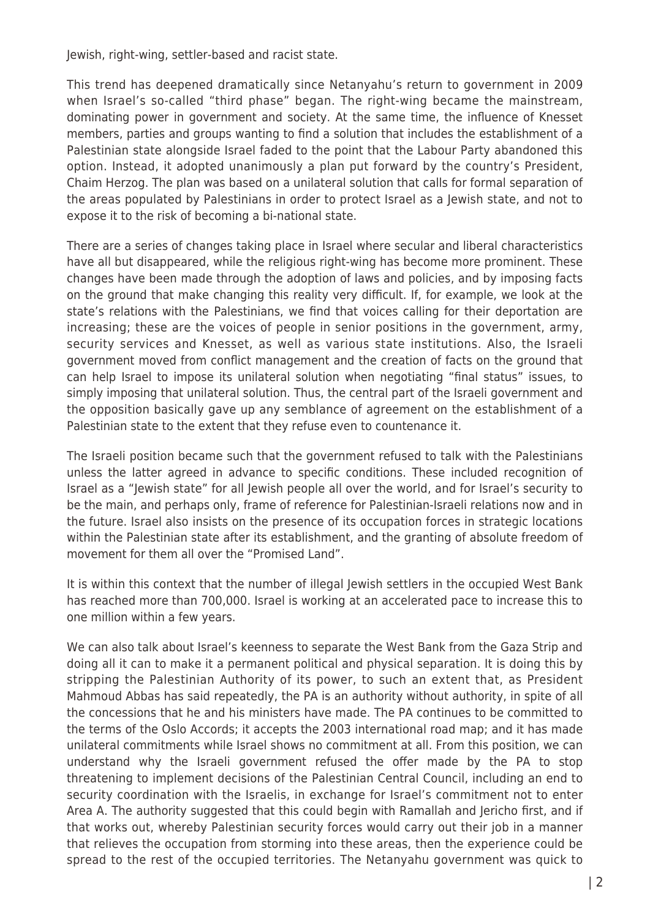Jewish, right-wing, settler-based and racist state.

This trend has deepened dramatically since Netanyahu's return to government in 2009 when Israel's so-called "third phase" began. The right-wing became the mainstream, dominating power in government and society. At the same time, the influence of Knesset members, parties and groups wanting to find a solution that includes the establishment of a Palestinian state alongside Israel faded to the point that the Labour Party abandoned this option. Instead, it adopted unanimously a plan put forward by the country's President, Chaim Herzog. The plan was based on a unilateral solution that calls for formal separation of the areas populated by Palestinians in order to protect Israel as a Jewish state, and not to expose it to the risk of becoming a bi-national state.

There are a series of changes taking place in Israel where secular and liberal characteristics have all but disappeared, while the religious right-wing has become more prominent. These changes have been made through the adoption of laws and policies, and by imposing facts on the ground that make changing this reality very difficult. If, for example, we look at the state's relations with the Palestinians, we find that voices calling for their deportation are increasing; these are the voices of people in senior positions in the government, army, security services and Knesset, as well as various state institutions. Also, the Israeli government moved from conflict management and the creation of facts on the ground that can help Israel to impose its unilateral solution when negotiating "final status" issues, to simply imposing that unilateral solution. Thus, the central part of the Israeli government and the opposition basically gave up any semblance of agreement on the establishment of a Palestinian state to the extent that they refuse even to countenance it.

The Israeli position became such that the government refused to talk with the Palestinians unless the latter agreed in advance to specific conditions. These included recognition of Israel as a "Jewish state" for all Jewish people all over the world, and for Israel's security to be the main, and perhaps only, frame of reference for Palestinian-Israeli relations now and in the future. Israel also insists on the presence of its occupation forces in strategic locations within the Palestinian state after its establishment, and the granting of absolute freedom of movement for them all over the "Promised Land".

It is within this context that the number of illegal Jewish settlers in the occupied West Bank has reached more than 700,000. Israel is working at an accelerated pace to increase this to one million within a few years.

We can also talk about Israel's keenness to separate the West Bank from the Gaza Strip and doing all it can to make it a permanent political and physical separation. It is doing this by stripping the Palestinian Authority of its power, to such an extent that, as President Mahmoud Abbas has said repeatedly, the PA is an authority without authority, in spite of all the concessions that he and his ministers have made. The PA continues to be committed to the terms of the Oslo Accords; it accepts the 2003 international road map; and it has made unilateral commitments while Israel shows no commitment at all. From this position, we can understand why the Israeli government refused the offer made by the PA to stop threatening to implement decisions of the Palestinian Central Council, including an end to security coordination with the Israelis, in exchange for Israel's commitment not to enter Area A. The authority suggested that this could begin with Ramallah and Jericho first, and if that works out, whereby Palestinian security forces would carry out their job in a manner that relieves the occupation from storming into these areas, then the experience could be spread to the rest of the occupied territories. The Netanyahu government was quick to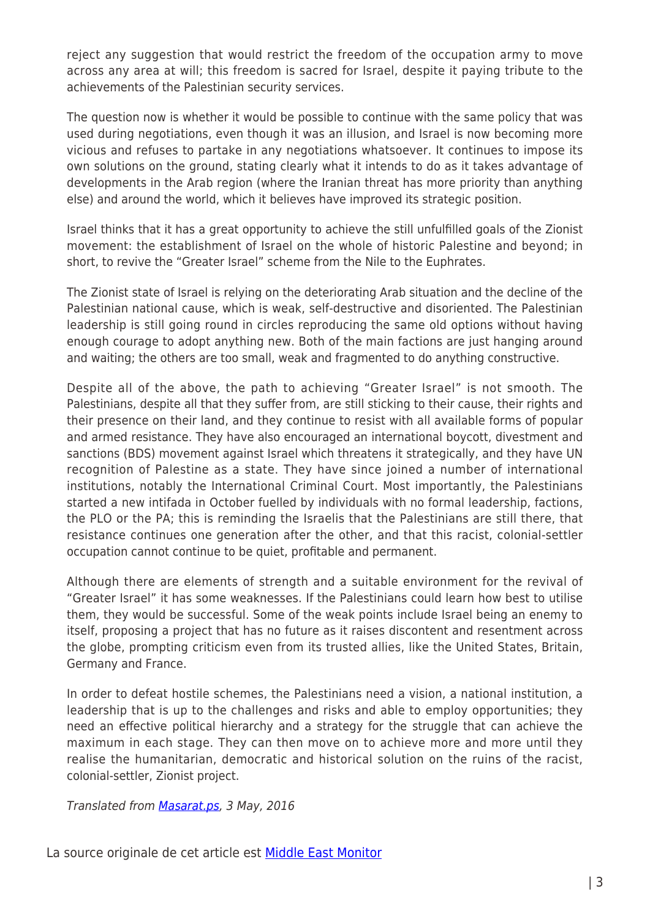reject any suggestion that would restrict the freedom of the occupation army to move across any area at will; this freedom is sacred for Israel, despite it paying tribute to the achievements of the Palestinian security services.

The question now is whether it would be possible to continue with the same policy that was used during negotiations, even though it was an illusion, and Israel is now becoming more vicious and refuses to partake in any negotiations whatsoever. It continues to impose its own solutions on the ground, stating clearly what it intends to do as it takes advantage of developments in the Arab region (where the Iranian threat has more priority than anything else) and around the world, which it believes have improved its strategic position.

Israel thinks that it has a great opportunity to achieve the still unfulfilled goals of the Zionist movement: the establishment of Israel on the whole of historic Palestine and beyond; in short, to revive the "Greater Israel" scheme from the Nile to the Euphrates.

The Zionist state of Israel is relying on the deteriorating Arab situation and the decline of the Palestinian national cause, which is weak, self-destructive and disoriented. The Palestinian leadership is still going round in circles reproducing the same old options without having enough courage to adopt anything new. Both of the main factions are just hanging around and waiting; the others are too small, weak and fragmented to do anything constructive.

Despite all of the above, the path to achieving "Greater Israel" is not smooth. The Palestinians, despite all that they suffer from, are still sticking to their cause, their rights and their presence on their land, and they continue to resist with all available forms of popular and armed resistance. They have also encouraged an international boycott, divestment and sanctions (BDS) movement against Israel which threatens it strategically, and they have UN recognition of Palestine as a state. They have since joined a number of international institutions, notably the International Criminal Court. Most importantly, the Palestinians started a new intifada in October fuelled by individuals with no formal leadership, factions, the PLO or the PA; this is reminding the Israelis that the Palestinians are still there, that resistance continues one generation after the other, and that this racist, colonial-settler occupation cannot continue to be quiet, profitable and permanent.

Although there are elements of strength and a suitable environment for the revival of "Greater Israel" it has some weaknesses. If the Palestinians could learn how best to utilise them, they would be successful. Some of the weak points include Israel being an enemy to itself, proposing a project that has no future as it raises discontent and resentment across the globe, prompting criticism even from its trusted allies, like the United States, Britain, Germany and France.

In order to defeat hostile schemes, the Palestinians need a vision, a national institution, a leadership that is up to the challenges and risks and able to employ opportunities; they need an effective political hierarchy and a strategy for the struggle that can achieve the maximum in each stage. They can then move on to achieve more and more until they realise the humanitarian, democratic and historical solution on the ruins of the racist, colonial-settler, Zionist project.

Translated from [Masarat.ps,](http://masarat.ps/ar/content/%D8%A5%D8%AD%D9%8A%D8%A7%D8%A1-%D8%A5%D8%B3%D8%B1%D8%A7%D8%A6%D9%8A%D9%84-%D8%A7%D9%84%D9%83%D8%A8%D8%B1%D9%89%E2%80%8E) 3 May, 2016